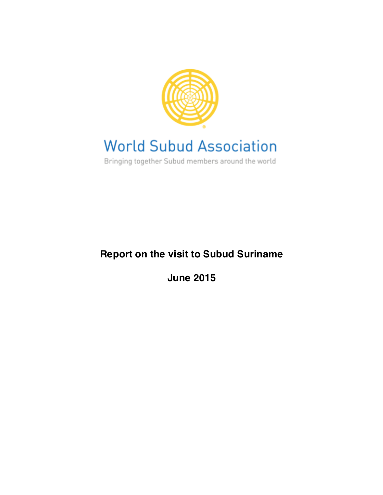

## **World Subud Association**

Bringing together Subud members around the world

## **Report on the visit to Subud Suriname**

**June 2015**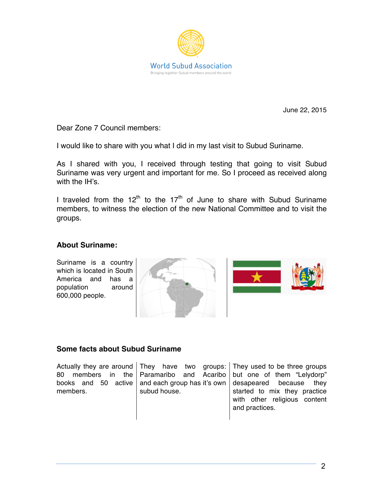

June 22, 2015

Dear Zone 7 Council members:

I would like to share with you what I did in my last visit to Subud Suriname.

As I shared with you, I received through testing that going to visit Subud Suriname was very urgent and important for me. So I proceed as received along with the IH's

I traveled from the  $12<sup>th</sup>$  to the  $17<sup>th</sup>$  of June to share with Subud Suriname members, to witness the election of the new National Committee and to visit the groups.

## **About Suriname:**

Suriname is a country which is located in South America and has a population around 600,000 people.





## **Some facts about Subud Suriname**

|          |              | Actually they are around They have two groups: They used to be three groups     |
|----------|--------------|---------------------------------------------------------------------------------|
|          |              | 80 members in the Paramaribo and Acaribo but one of them "Lelydorp"             |
|          |              | books and 50 active and each group has it's own $\vert$ desapeared because they |
| members. | subud house. | started to mix they practice                                                    |
|          |              | with other religious content                                                    |
|          |              | and practices.                                                                  |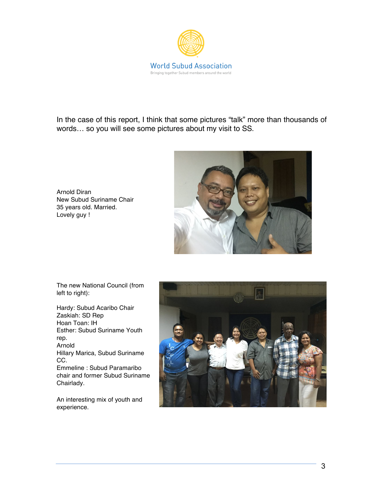

In the case of this report, I think that some pictures "talk" more than thousands of words… so you will see some pictures about my visit to SS.



Arnold Diran New Subud Suriname Chair 35 years old. Married. Lovely guy !

The new National Council (from left to right):

Hardy: Subud Acaribo Chair Zaskiah: SD Rep Hoan Toan: IH Esther: Subud Suriname Youth rep. Arnold Hillary Marica, Subud Suriname CC. Emmeline : Subud Paramaribo chair and former Subud Suriname Chairlady.

An interesting mix of youth and experience.

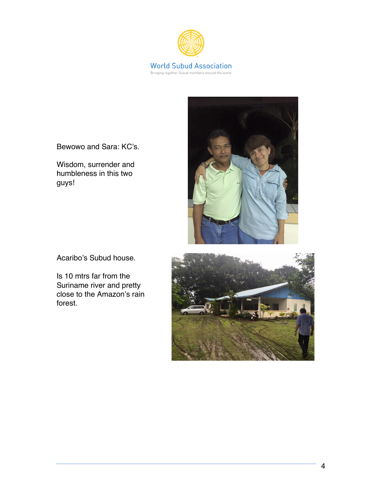

Bewowo and Sara: KC's.

Wisdom, surrender and humbleness in this two guys!



Acaribo's Subud house.

Is 10 mtrs far from the Suriname river and pretty close to the Amazon's rain forest.